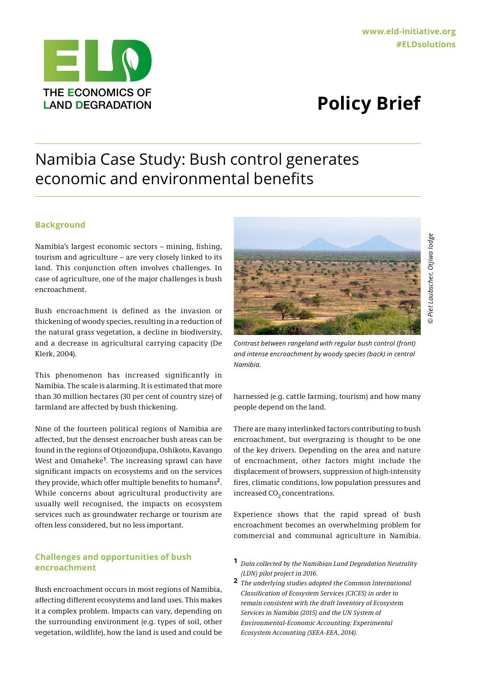# **LAND DEGRADATION**

## Namibia Case Study: Bush control generates economic and environmental benefits

### **Background**

Namibia's largest economic sectors – mining, fishing, tourism and agriculture – are very closely linked to its land. This conjunction often involves challenges. In case of agriculture, one of the major challenges is bush encroachment.

Bush encroachment is defined as the invasion or thickening of woody species, resulting in a reduction of the natural grass vegetation, a decline in biodiversity, and a decrease in agricultural carrying capacity (De Klerk, 2004).

This phenomenon has increased significantly in Namibia. The scale is alarming. It is estimated that more than 30 million hectares (30 per cent of country size) of farmland are affected by bush thickening.

Nine of the fourteen political regions of Namibia are affected, but the densest encroacher bush areas can be found in the regions of Otjozondjupa, Oshikoto, Kavango West and Omaheke**<sup>1</sup>**. The increasing sprawl can have significant impacts on ecosystems and on the services they provide, which offer multiple benefits to humans**<sup>2</sup>**. While concerns about agricultural productivity are usually well recognised, the impacts on ecosystem services such as groundwater recharge or tourism are often less considered, but no less important.

#### **Challenges and opportunities of bush encroachment**

Bush encroachment occurs in most regions of Namibia, affecting different ecosystems and land uses. This makes it a complex problem. Impacts can vary, depending on the surrounding environment (e.g. types of soil, other vegetation, wildlife), how the land is used and could be



*Contrast between rangeland with regular bush control (front) and intense encroachment by woody species (back) in central Namibia.*

harnessed (e.g. cattle farming, tourism) and how many people depend on the land.

There are many interlinked factors contributing to bush encroachment, but overgrazing is thought to be one of the key drivers. Depending on the area and nature of encroachment, other factors might include the displacement of browsers, suppression of high-intensity fires, climatic conditions, low population pressures and increased  $CO<sub>2</sub>$  concentrations.

Experience shows that the rapid spread of bush encroachment becomes an overwhelming problem for commercial and communal agriculture in Namibia.

- **1** *Data collected by the Namibian Land Degradation Neutrality (LDN) pilot project in 2016.*
- **2** *The underlying studies adopted the Common International Classification of Ecosystem Services (CICES) in order to remain consistent with the draft Inventory of Ecosystem Services in Namibia (2015) and the UN System of Environmental-Economic Accounting: Experimental Ecosystem Accounting (SEEA-EEA, 2014).*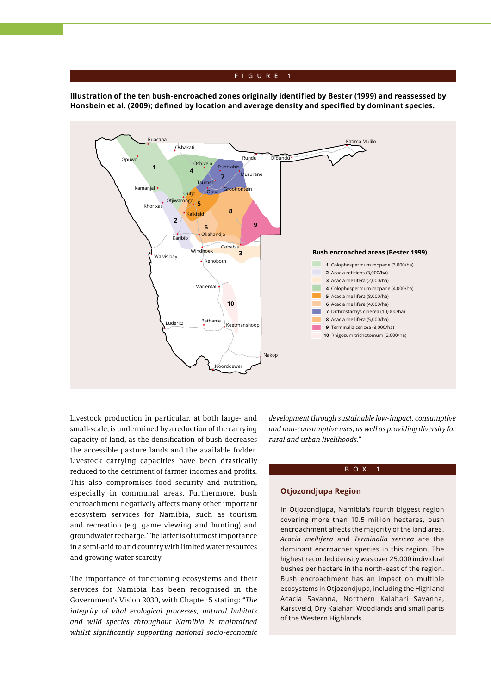#### **FIGURE 1**

**Illustration of the ten bush-encroached zones originally identified by Bester (1999) and reassessed by Honsbein et al. (2009); defined by location and average density and specified by dominant species.**



Livestock production in particular, at both large- and small-scale, is undermined by a reduction of the carrying capacity of land, as the densification of bush decreases the accessible pasture lands and the available fodder. Livestock carrying capacities have been drastically reduced to the detriment of farmer incomes and profits. This also compromises food security and nutrition, especially in communal areas. Furthermore, bush encroachment negatively affects many other important ecosystem services for Namibia, such as tourism and recreation (e.g. game viewing and hunting) and groundwater recharge. The latter is of utmost importance in a semi-arid to arid country with limited water resources and growing water scarcity.

The importance of functioning ecosystems and their services for Namibia has been recognised in the Government's Vision 2030, with Chapter 5 stating: *"The integrity of vital ecological processes, natural habitats and wild species throughout Namibia is maintained whilst significantly supporting national socio-economic* 

*development through sustainable low-impact, consumptive and non-consumptive uses, as well as providing diversity for rural and urban livelihoods."*

#### **BOX 1**

#### **Otjozondjupa Region**

In Otjozondjupa, Namibia's fourth biggest region covering more than 10.5 million hectares, bush encroachment affects the majority of the land area. *Acacia mellifera* and *Terminalia sericea* are the dominant encroacher species in this region. The highest recorded density was over 25,000 individual bushes per hectare in the north-east of the region. Bush encroachment has an impact on multiple ecosystems in Otjozondjupa, including the Highland Acacia Savanna, Northern Kalahari Savanna, Karstveld, Dry Kalahari Woodlands and small parts of the Western Highlands.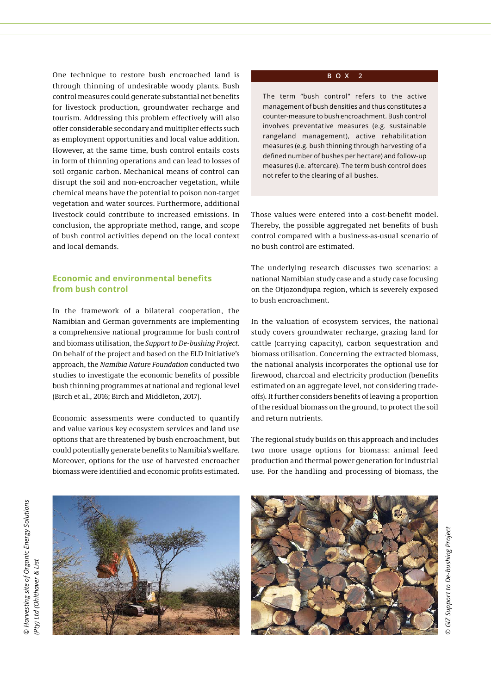One technique to restore bush encroached land is through thinning of undesirable woody plants. Bush control measures could generate substantial net benefits for livestock production, groundwater recharge and tourism. Addressing this problem effectively will also offer considerable secondary and multiplier effects such as employment opportunities and local value addition. However, at the same time, bush control entails costs in form of thinning operations and can lead to losses of soil organic carbon. Mechanical means of control can disrupt the soil and non-encroacher vegetation, while chemical means have the potential to poison non-target vegetation and water sources. Furthermore, additional livestock could contribute to increased emissions. In conclusion, the appropriate method, range, and scope of bush control activities depend on the local context and local demands.

### **Economic and environmental benefits from bush control**

In the framework of a bilateral cooperation, the Namibian and German governments are implementing a comprehensive national programme for bush control and biomass utilisation, the *Support to De-bushing Project*. On behalf of the project and based on the ELD Initiative's approach, the *Namibia Nature Foundation* conducted two studies to investigate the economic benefits of possible bush thinning programmes at national and regional level (Birch et al., 2016; Birch and Middleton, 2017).

Economic assessments were conducted to quantify and value various key ecosystem services and land use options that are threatened by bush encroachment, but could potentially generate benefits to Namibia's welfare. Moreover, options for the use of harvested encroacher biomass were identified and economic profits estimated.

#### **BOX 2**

The term "bush control" refers to the active management of bush densities and thus constitutes a counter-measure to bush encroachment. Bush control involves preventative measures (e.g. sustainable rangeland management), active rehabilitation measures (e.g. bush thinning through harvesting of a defined number of bushes per hectare) and follow-up measures (i.e. aftercare). The term bush control does not refer to the clearing of all bushes.

Those values were entered into a cost-benefit model. Thereby, the possible aggregated net benefits of bush control compared with a business-as-usual scenario of no bush control are estimated.

The underlying research discusses two scenarios: a national Namibian study case and a study case focusing on the Otjozondjupa region, which is severely exposed to bush encroachment.

In the valuation of ecosystem services, the national study covers groundwater recharge, grazing land for cattle (carrying capacity), carbon sequestration and biomass utilisation. Concerning the extracted biomass, the national analysis incorporates the optional use for firewood, charcoal and electricity production (benefits estimated on an aggregate level, not considering tradeoffs). It further considers benefits of leaving a proportion of the residual biomass on the ground, to protect the soil and return nutrients.

The regional study builds on this approach and includes two more usage options for biomass: animal feed production and thermal power generation for industrial use. For the handling and processing of biomass, the



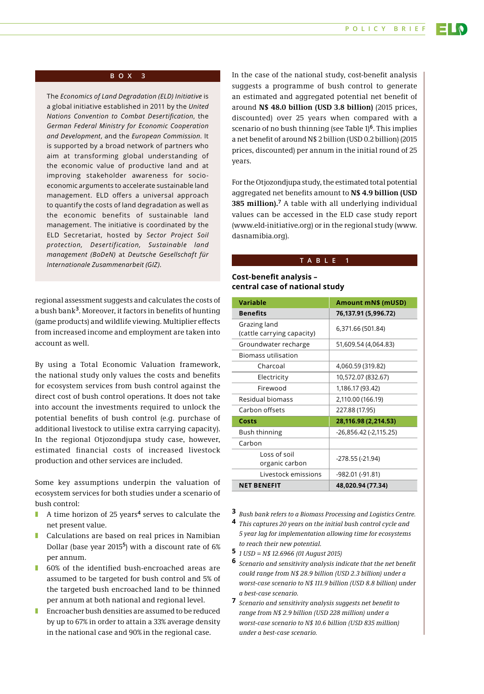#### **POLICY BRIEF**

#### **BOX 3**

The *Economics of Land Degradation (ELD) Initiative* is a global initiative established in 2011 by the *United Nations Convention to Combat Desertification*, the *German Federal Ministry for Economic Cooperation and Development*, and the *European Commission*. It is supported by a broad network of partners who aim at transforming global understanding of the economic value of productive land and at improving stakeholder awareness for socioeconomic arguments to accelerate sustainable land management. ELD offers a universal approach to quantify the costs of land degradation as well as the economic benefits of sustainable land management. The initiative is coordinated by the ELD Secretariat, hosted by *Sector Project Soil protection, Desertification, Sustainable land management (BoDeN)* at *Deutsche Gesellschaft für Internationale Zusammenarbeit (GIZ)*. **TABLE 1** 

regional assessment suggests and calculates the costs of a bush bank**<sup>3</sup>**. Moreover, it factors in benefits of hunting (game products) and wildlife viewing. Multiplier effects from increased income and employment are taken into account as well.

By using a Total Economic Valuation framework, the national study only values the costs and benefits for ecosystem services from bush control against the direct cost of bush control operations. It does not take into account the investments required to unlock the potential benefits of bush control (e.g. purchase of additional livestock to utilise extra carrying capacity). In the regional Otjozondjupa study case, however, estimated financial costs of increased livestock production and other services are included.

Some key assumptions underpin the valuation of ecosystem services for both studies under a scenario of bush control:

- A time horizon of 25 years<sup>4</sup> serves to calculate the net present value.
- Calculations are based on real prices in Namibian Dollar (base year 2015**5**) with a discount rate of 6% per annum.
- 60% of the identified bush-encroached areas are assumed to be targeted for bush control and 5% of the targeted bush encroached land to be thinned per annum at both national and regional level.
- Encroacher bush densities are assumed to be reduced by up to 67% in order to attain a 33% average density in the national case and 90% in the regional case.

In the case of the national study, cost-benefit analysis suggests a programme of bush control to generate an estimated and aggregated potential net benefit of around **N\$ 48.0 billion (USD 3.8 billion)** (2015 prices, discounted) over 25 years when compared with a scenario of no bush thinning (see Table 1)**6**. This implies a net benefit of around N\$ 2 billion (USD 0.2 billion) (2015 prices, discounted) per annum in the initial round of 25 years.

For the Otjozondjupa study, the estimated total potential aggregated net benefits amount to **N\$ 4.9 billion (USD 385 million).<sup>7</sup>** A table with all underlying individual values can be accessed in the ELD case study report ([www.eld-initiative.org](http://www.eld-initiative.org)) or in the regional study [\(www.](http://www.dasnamibia.org) [dasnamibia.org\)](http://www.dasnamibia.org).

#### **Cost-benefit analysis – central case of national study**

| <b>Variable</b>                            | Amount mN\$ (mUSD)     |
|--------------------------------------------|------------------------|
| <b>Benefits</b>                            | 76,137.91 (5,996.72)   |
| Grazing land<br>(cattle carrying capacity) | 6,371.66 (501.84)      |
| Groundwater recharge                       | 51,609.54 (4,064.83)   |
| Biomass utilisation                        |                        |
| Charcoal                                   | 4,060.59 (319.82)      |
| Electricity                                | 10,572.07 (832.67)     |
| Firewood                                   | 1,186.17 (93.42)       |
| Residual biomass                           | 2,110.00 (166.19)      |
| Carbon offsets                             | 227.88 (17.95)         |
| Costs                                      | 28,116.98 (2,214.53)   |
| <b>Bush thinning</b>                       | -26,856.42 (-2,115.25) |
| Carbon                                     |                        |
| Loss of soil<br>organic carbon             | -278.55 (-21.94)       |
| Livestock emissions                        | -982.01 (-91.81)       |
| <b>NET BENEFIT</b>                         | 48,020.94 (77.34)      |

**3** *Bush bank refers to a Biomass Processing and Logistics Centre.*

- **4** *This captures 20 years on the initial bush control cycle and 5 year lag for implementation allowing time for ecosystems to reach their new potential.*
- **5** *1 USD = N\$ 12.6966 (01 August 2015)*
- **6** *Scenario and sensitivity analysis indicate that the net benefit could range from N\$ 28.9 billion (USD 2.3 billion) under a worst-case scenario to N\$ 111.9 billion (USD 8.8 billion) under a best-case scenario.*
- **7** *Scenario and sensitivity analysis suggests net benefit to range from N\$ 2.9 billion (USD 228 million) under a worst-case scenario to N\$ 10.6 billion (USD 835 million) under a best-case scenario.*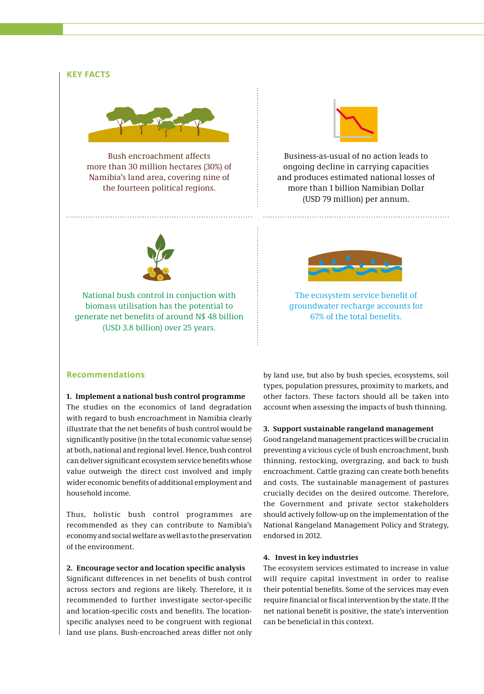#### **KEY FACTS**



Bush encroachment affects more than 30 million hectares (30%) of Namibia's land area, covering nine of the fourteen political regions.



Business-as-usual of no action leads to ongoing decline in carrying capacities and produces estimated national losses of more than 1 billion Namibian Dollar (USD 79 million) per annum.



National bush control in conjuction with biomass utilisation has the potential to generate net benefits of around N\$ 48 billion (USD 3.8 billion) over 25 years.



The ecosystem service benefit of groundwater recharge accounts for 67% of the total benefits.

#### **Recommendations**

#### **1. Implement a national bush control programme**

The studies on the economics of land degradation with regard to bush encroachment in Namibia clearly illustrate that the net benefits of bush control would be significantly positive (in the total economic value sense) at both, national and regional level. Hence, bush control can deliver significant ecosystem service benefits whose value outweigh the direct cost involved and imply wider economic benefits of additional employment and household income.

Thus, holistic bush control programmes are recommended as they can contribute to Namibia's economy and social welfare as well as to the preservation of the environment.

#### **2. Encourage sector and location specific analysis**

Significant differences in net benefits of bush control across sectors and regions are likely. Therefore, it is recommended to further investigate sector-specific and location-specific costs and benefits. The locationspecific analyses need to be congruent with regional land use plans. Bush-encroached areas differ not only

by land use, but also by bush species, ecosystems, soil types, population pressures, proximity to markets, and other factors. These factors should all be taken into account when assessing the impacts of bush thinning.

#### **3. Support sustainable rangeland management**

Good rangeland management practices will be crucial in preventing a vicious cycle of bush encroachment, bush thinning, restocking, overgrazing, and back to bush encroachment. Cattle grazing can create both benefits and costs. The sustainable management of pastures crucially decides on the desired outcome. Therefore, the Government and private sector stakeholders should actively follow-up on the implementation of the National Rangeland Management Policy and Strategy, endorsed in 2012.

#### **4. Invest in key industries**

The ecosystem services estimated to increase in value will require capital investment in order to realise their potential benefits. Some of the services may even require financial or fiscal intervention by the state. If the net national benefit is positive, the state's intervention can be beneficial in this context.